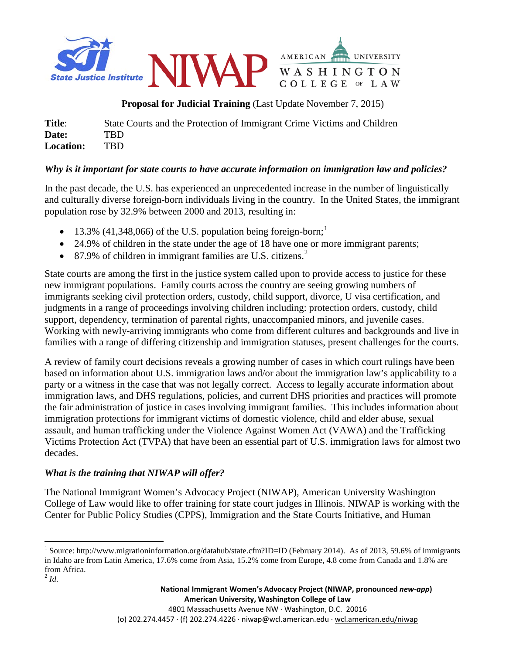

**Proposal for Judicial Training** (Last Update November 7, 2015)

**Title**: State Courts and the Protection of Immigrant Crime Victims and Children **Date:** TBD **Location:** TBD

## *Why is it important for state courts to have accurate information on immigration law and policies?*

In the past decade, the U.S. has experienced an unprecedented increase in the number of linguistically and culturally diverse foreign-born individuals living in the country. In the United States, the immigrant population rose by 32.9% between 2000 and 2013, resulting in:

- [1](#page-0-0)3.3% (41,348,066) of the U.S. population being foreign-born;<sup>1</sup>
- 24.9% of children in the state under the age of 18 have one or more immigrant parents;
- 87.9% of children in immigrant families are U.S. citizens.<sup>[2](#page-0-1)</sup>

State courts are among the first in the justice system called upon to provide access to justice for these new immigrant populations. Family courts across the country are seeing growing numbers of immigrants seeking civil protection orders, custody, child support, divorce, U visa certification, and judgments in a range of proceedings involving children including: protection orders, custody, child support, dependency, termination of parental rights, unaccompanied minors, and juvenile cases. Working with newly-arriving immigrants who come from different cultures and backgrounds and live in families with a range of differing citizenship and immigration statuses, present challenges for the courts.

A review of family court decisions reveals a growing number of cases in which court rulings have been based on information about U.S. immigration laws and/or about the immigration law's applicability to a party or a witness in the case that was not legally correct. Access to legally accurate information about immigration laws, and DHS regulations, policies, and current DHS priorities and practices will promote the fair administration of justice in cases involving immigrant families. This includes information about immigration protections for immigrant victims of domestic violence, child and elder abuse, sexual assault, and human trafficking under the Violence Against Women Act (VAWA) and the Trafficking Victims Protection Act (TVPA) that have been an essential part of U.S. immigration laws for almost two decades.

## *What is the training that NIWAP will offer?*

The National Immigrant Women's Advocacy Project (NIWAP), American University Washington College of Law would like to offer training for state court judges in Illinois. NIWAP is working with the Center for Public Policy Studies (CPPS), Immigration and the State Courts Initiative, and Human

<span id="page-0-1"></span><span id="page-0-0"></span><sup>&</sup>lt;sup>1</sup> Source: http://www.migrationinformation.org/datahub/state.cfm?ID=ID (February 2014). As of 2013, 59.6% of immigrants in Idaho are from Latin America, 17.6% come from Asia, 15.2% come from Europe, 4.8 come from Canada and 1.8% are from Africa.  $^{2}$ *Id*.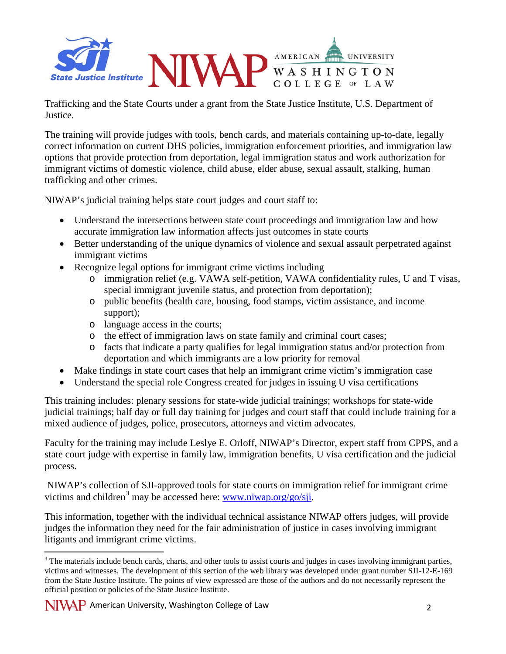

Trafficking and the State Courts under a grant from the State Justice Institute, U.S. Department of Justice.

The training will provide judges with tools, bench cards, and materials containing up-to-date, legally correct information on current DHS policies, immigration enforcement priorities, and immigration law options that provide protection from deportation, legal immigration status and work authorization for immigrant victims of domestic violence, child abuse, elder abuse, sexual assault, stalking, human trafficking and other crimes.

NIWAP's judicial training helps state court judges and court staff to:

- Understand the intersections between state court proceedings and immigration law and how accurate immigration law information affects just outcomes in state courts
- Better understanding of the unique dynamics of violence and sexual assault perpetrated against immigrant victims
- Recognize legal options for immigrant crime victims including
	- o immigration relief (e.g. VAWA self-petition, VAWA confidentiality rules, U and T visas, special immigrant juvenile status, and protection from deportation);
	- o public benefits (health care, housing, food stamps, victim assistance, and income support);
	- o language access in the courts;
	- o the effect of immigration laws on state family and criminal court cases;
	- o facts that indicate a party qualifies for legal immigration status and/or protection from deportation and which immigrants are a low priority for removal
- Make findings in state court cases that help an immigrant crime victim's immigration case
- Understand the special role Congress created for judges in issuing U visa certifications

This training includes: plenary sessions for state-wide judicial trainings; workshops for state-wide judicial trainings; half day or full day training for judges and court staff that could include training for a mixed audience of judges, police, prosecutors, attorneys and victim advocates.

Faculty for the training may include Leslye E. Orloff, NIWAP's Director, expert staff from CPPS, and a state court judge with expertise in family law, immigration benefits, U visa certification and the judicial process.

NIWAP's collection of SJI-approved tools for state courts on immigration relief for immigrant crime victims and children<sup>[3](#page-1-0)</sup> may be accessed here: [www.niwap.org/go/sji.](http://www.niwap.org/go/sji)

This information, together with the individual technical assistance NIWAP offers judges, will provide judges the information they need for the fair administration of justice in cases involving immigrant litigants and immigrant crime victims.

<span id="page-1-0"></span><sup>&</sup>lt;sup>3</sup> The materials include bench cards, charts, and other tools to assist courts and judges in cases involving immigrant parties, victims and witnesses. The development of this section of the web library was developed under grant number SJI-12-E-169 from the State Justice Institute. The points of view expressed are those of the authors and do not necessarily represent the official position or policies of the State Justice Institute.